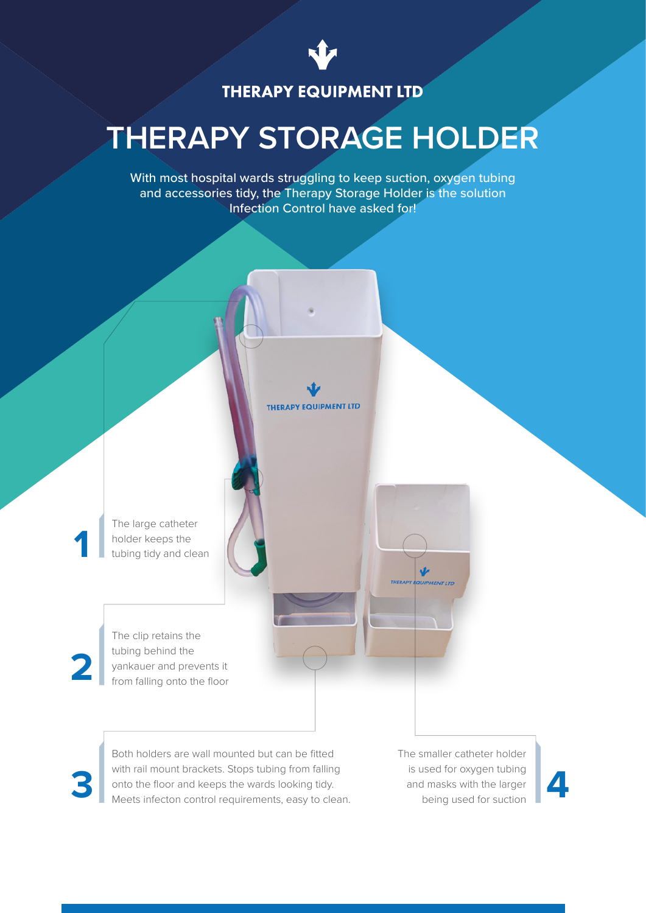

# **THERAPY EQUIPMENT LTD**

# **THERAPY STORAGE HOLDER**

With most hospital wards struggling to keep suction, oxygen tubing and accessories tidy, the Therapy Storage Holder is the solution Infection Control have asked for!

**THERAPY EQUIPMENT LTD** 

The large catheter holder keeps the tubing tidy and clean

The clip retains the tubing behind the yankauer and prevents it from falling onto the floor

**2**

**1**

Both holders are wall mounted but can be fitted with rail mount brackets. Stops tubing from falling onto the floor and keeps the wards looking tidy. Meets infecton control requirements, easy to clean. Next and masks with the larger Meets infecton control requirements, easy to clean.

The smaller catheter holder is used for oxygen tubing and masks with the larger being used for suction